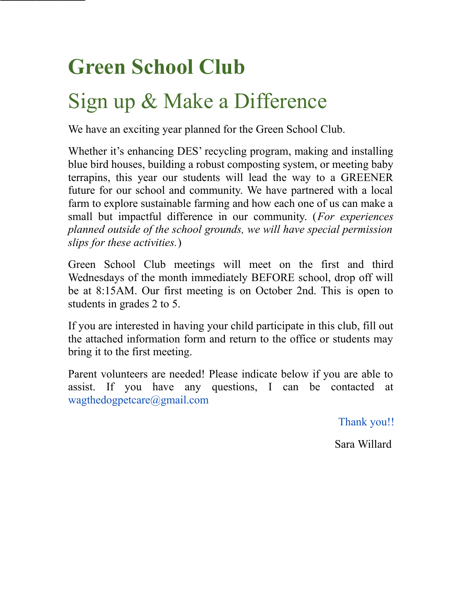## **Green School Club**

## Sign up & Make a Difference

We have an exciting year planned for the Green School Club.

Whether it's enhancing DES' recycling program, making and installing blue bird houses, building a robust composting system, or meeting baby terrapins, this year our students will lead the way to a GREENER future for our school and community. We have partnered with a local farm to explore sustainable farming and how each one of us can make a small but impactful difference in our community. (*For experiences planned outside of the school grounds, we will have special permission slips for these activities.*)

Green School Club meetings will meet on the first and third Wednesdays of the month immediately BEFORE school, drop off will be at 8:15AM. Our first meeting is on October 2nd. This is open to students in grades 2 to 5.

If you are interested in having your child participate in this club, fill out the attached information form and return to the office or students may bring it to the first meeting.

Parent volunteers are needed! Please indicate below if you are able to assist. If you have any questions, I can be contacted at wagthedogpetcare@gmail.com

Thank you!!

Sara Willard